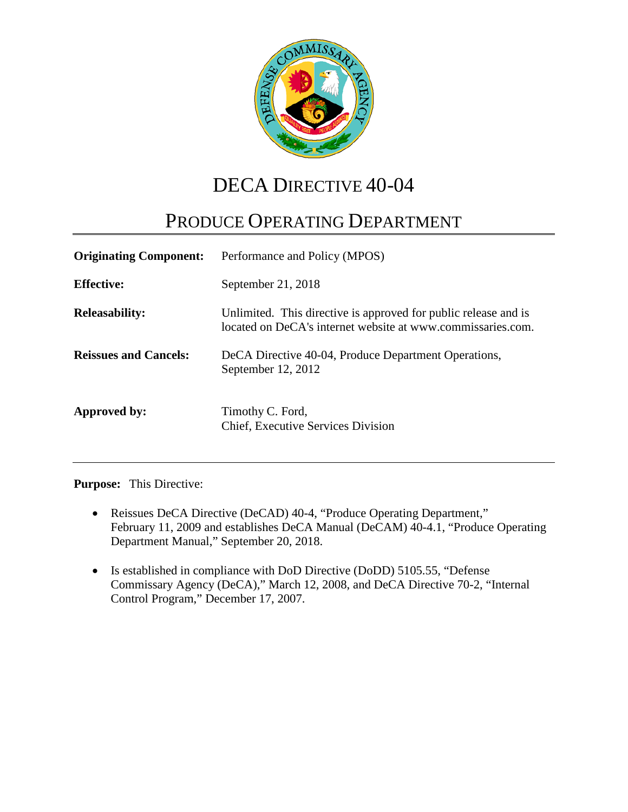

# DECA DIRECTIVE 40-04

# PRODUCE OPERATING DEPARTMENT

| <b>Originating Component:</b> | Performance and Policy (MPOS)                                                                                                  |
|-------------------------------|--------------------------------------------------------------------------------------------------------------------------------|
| <b>Effective:</b>             | September 21, 2018                                                                                                             |
| <b>Releasability:</b>         | Unlimited. This directive is approved for public release and is<br>located on DeCA's internet website at www.commissaries.com. |
| <b>Reissues and Cancels:</b>  | DeCA Directive 40-04, Produce Department Operations,<br>September 12, 2012                                                     |
| Approved by:                  | Timothy C. Ford,<br>Chief, Executive Services Division                                                                         |

**Purpose:** This Directive:

- Reissues DeCA Directive (DeCAD) 40-4, "Produce Operating Department," February 11, 2009 and establishes DeCA Manual (DeCAM) 40-4.1, "Produce Operating Department Manual," September 20, 2018.
- Is established in compliance with DoD Directive (DoDD) 5105.55, "Defense Commissary Agency (DeCA)," March 12, 2008, and DeCA Directive 70-2, "Internal Control Program," December 17, 2007.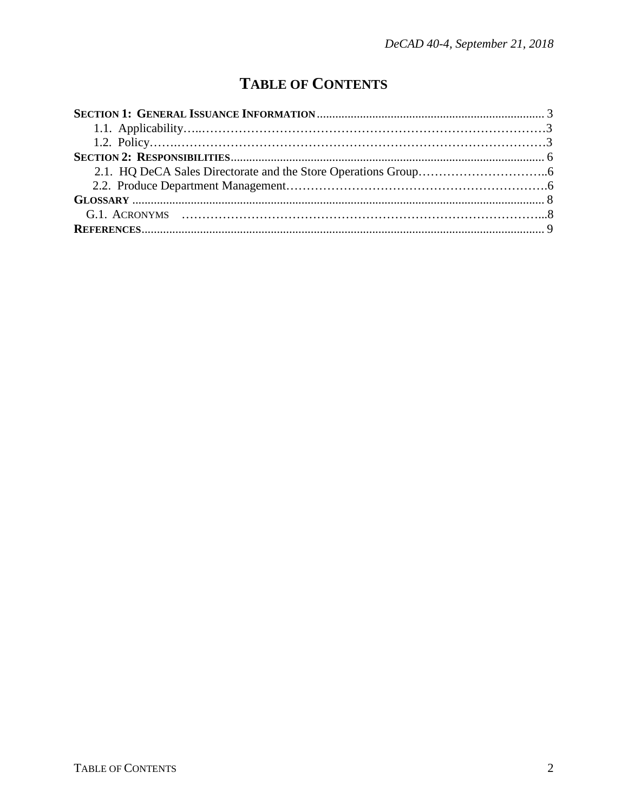## **TABLE OF CONTENTS**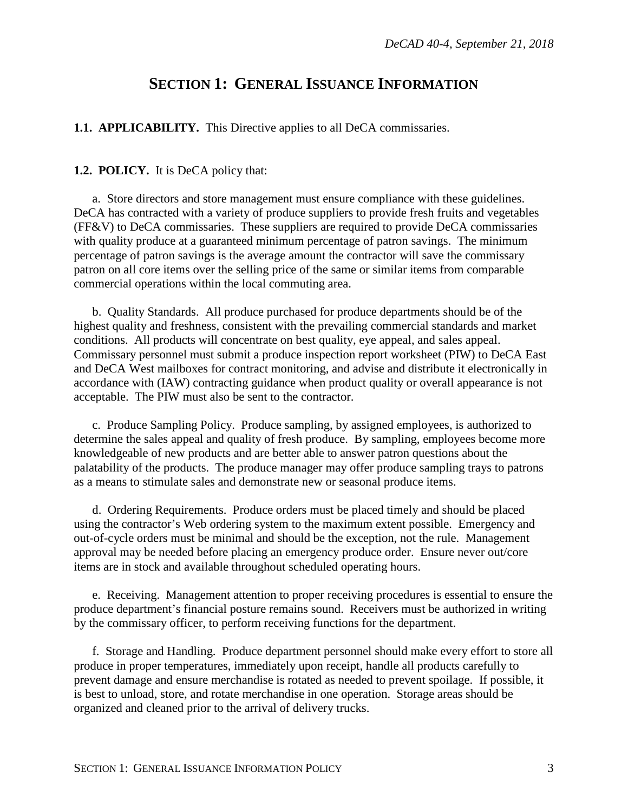### **SECTION 1: GENERAL ISSUANCE INFORMATION**

<span id="page-2-1"></span><span id="page-2-0"></span>**1.1. APPLICABILITY.** This Directive applies to all DeCA commissaries.

#### <span id="page-2-2"></span>**1.2. POLICY.** It is DeCA policy that:

a. Store directors and store management must ensure compliance with these guidelines. DeCA has contracted with a variety of produce suppliers to provide fresh fruits and vegetables (FF&V) to DeCA commissaries. These suppliers are required to provide DeCA commissaries with quality produce at a guaranteed minimum percentage of patron savings. The minimum percentage of patron savings is the average amount the contractor will save the commissary patron on all core items over the selling price of the same or similar items from comparable commercial operations within the local commuting area.

b. Quality Standards. All produce purchased for produce departments should be of the highest quality and freshness, consistent with the prevailing commercial standards and market conditions. All products will concentrate on best quality, eye appeal, and sales appeal. Commissary personnel must submit a produce inspection report worksheet (PIW) to DeCA East and DeCA West mailboxes for contract monitoring, and advise and distribute it electronically in accordance with (IAW) contracting guidance when product quality or overall appearance is not acceptable. The PIW must also be sent to the contractor.

c. Produce Sampling Policy. Produce sampling, by assigned employees, is authorized to determine the sales appeal and quality of fresh produce. By sampling, employees become more knowledgeable of new products and are better able to answer patron questions about the palatability of the products. The produce manager may offer produce sampling trays to patrons as a means to stimulate sales and demonstrate new or seasonal produce items.

d. Ordering Requirements. Produce orders must be placed timely and should be placed using the contractor's Web ordering system to the maximum extent possible. Emergency and out-of-cycle orders must be minimal and should be the exception, not the rule. Management approval may be needed before placing an emergency produce order. Ensure never out/core items are in stock and available throughout scheduled operating hours.

e. Receiving. Management attention to proper receiving procedures is essential to ensure the produce department's financial posture remains sound. Receivers must be authorized in writing by the commissary officer, to perform receiving functions for the department.

f. Storage and Handling. Produce department personnel should make every effort to store all produce in proper temperatures, immediately upon receipt, handle all products carefully to prevent damage and ensure merchandise is rotated as needed to prevent spoilage. If possible, it is best to unload, store, and rotate merchandise in one operation. Storage areas should be organized and cleaned prior to the arrival of delivery trucks.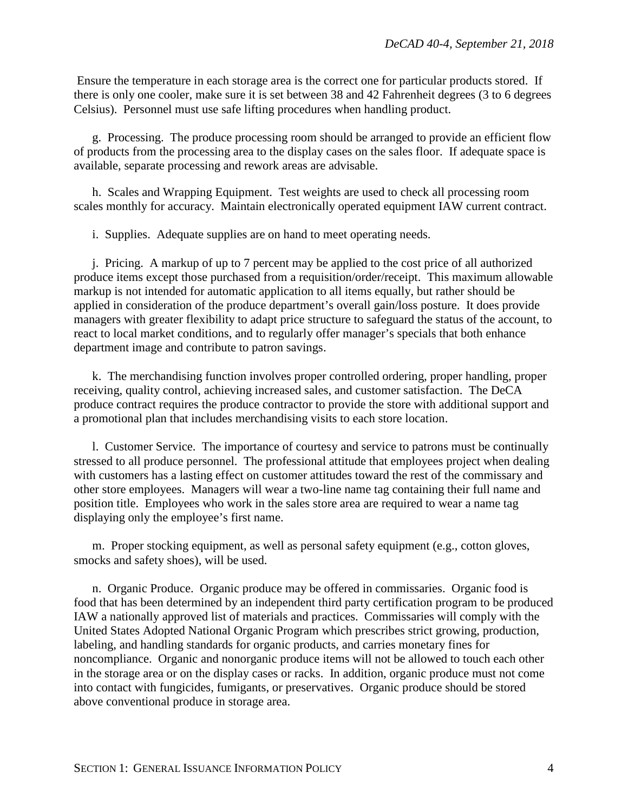Ensure the temperature in each storage area is the correct one for particular products stored. If there is only one cooler, make sure it is set between 38 and 42 Fahrenheit degrees (3 to 6 degrees Celsius). Personnel must use safe lifting procedures when handling product.

g. Processing. The produce processing room should be arranged to provide an efficient flow of products from the processing area to the display cases on the sales floor. If adequate space is available, separate processing and rework areas are advisable.

h. Scales and Wrapping Equipment. Test weights are used to check all processing room scales monthly for accuracy. Maintain electronically operated equipment IAW current contract.

i. Supplies. Adequate supplies are on hand to meet operating needs.

j. Pricing. A markup of up to 7 percent may be applied to the cost price of all authorized produce items except those purchased from a requisition/order/receipt. This maximum allowable markup is not intended for automatic application to all items equally, but rather should be applied in consideration of the produce department's overall gain/loss posture. It does provide managers with greater flexibility to adapt price structure to safeguard the status of the account, to react to local market conditions, and to regularly offer manager's specials that both enhance department image and contribute to patron savings.

k. The merchandising function involves proper controlled ordering, proper handling, proper receiving, quality control, achieving increased sales, and customer satisfaction. The DeCA produce contract requires the produce contractor to provide the store with additional support and a promotional plan that includes merchandising visits to each store location.

l. Customer Service. The importance of courtesy and service to patrons must be continually stressed to all produce personnel. The professional attitude that employees project when dealing with customers has a lasting effect on customer attitudes toward the rest of the commissary and other store employees. Managers will wear a two-line name tag containing their full name and position title. Employees who work in the sales store area are required to wear a name tag displaying only the employee's first name.

m. Proper stocking equipment, as well as personal safety equipment (e.g., cotton gloves, smocks and safety shoes), will be used.

n. Organic Produce. Organic produce may be offered in commissaries. Organic food is food that has been determined by an independent third party certification program to be produced IAW a nationally approved list of materials and practices. Commissaries will comply with the United States Adopted National Organic Program which prescribes strict growing, production, labeling, and handling standards for organic products, and carries monetary fines for noncompliance. Organic and nonorganic produce items will not be allowed to touch each other in the storage area or on the display cases or racks. In addition, organic produce must not come into contact with fungicides, fumigants, or preservatives. Organic produce should be stored above conventional produce in storage area.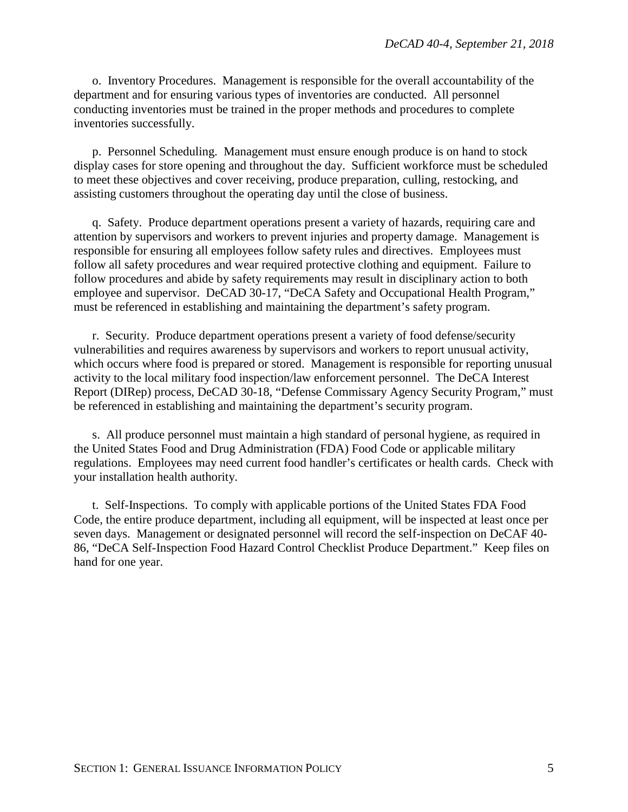o. Inventory Procedures. Management is responsible for the overall accountability of the department and for ensuring various types of inventories are conducted. All personnel conducting inventories must be trained in the proper methods and procedures to complete inventories successfully.

p. Personnel Scheduling. Management must ensure enough produce is on hand to stock display cases for store opening and throughout the day. Sufficient workforce must be scheduled to meet these objectives and cover receiving, produce preparation, culling, restocking, and assisting customers throughout the operating day until the close of business.

q. Safety. Produce department operations present a variety of hazards, requiring care and attention by supervisors and workers to prevent injuries and property damage. Management is responsible for ensuring all employees follow safety rules and directives. Employees must follow all safety procedures and wear required protective clothing and equipment. Failure to follow procedures and abide by safety requirements may result in disciplinary action to both employee and supervisor. DeCAD 30-17, "DeCA Safety and Occupational Health Program," must be referenced in establishing and maintaining the department's safety program.

r. Security. Produce department operations present a variety of food defense/security vulnerabilities and requires awareness by supervisors and workers to report unusual activity, which occurs where food is prepared or stored. Management is responsible for reporting unusual activity to the local military food inspection/law enforcement personnel. The DeCA Interest Report (DIRep) process, DeCAD 30-18, "Defense Commissary Agency Security Program," must be referenced in establishing and maintaining the department's security program.

s. All produce personnel must maintain a high standard of personal hygiene, as required in the United States Food and Drug Administration (FDA) Food Code or applicable military regulations. Employees may need current food handler's certificates or health cards. Check with your installation health authority.

t. Self-Inspections. To comply with applicable portions of the United States FDA Food Code, the entire produce department, including all equipment, will be inspected at least once per seven days. Management or designated personnel will record the self-inspection on DeCAF 40- 86, "DeCA Self-Inspection Food Hazard Control Checklist Produce Department." Keep files on hand for one year.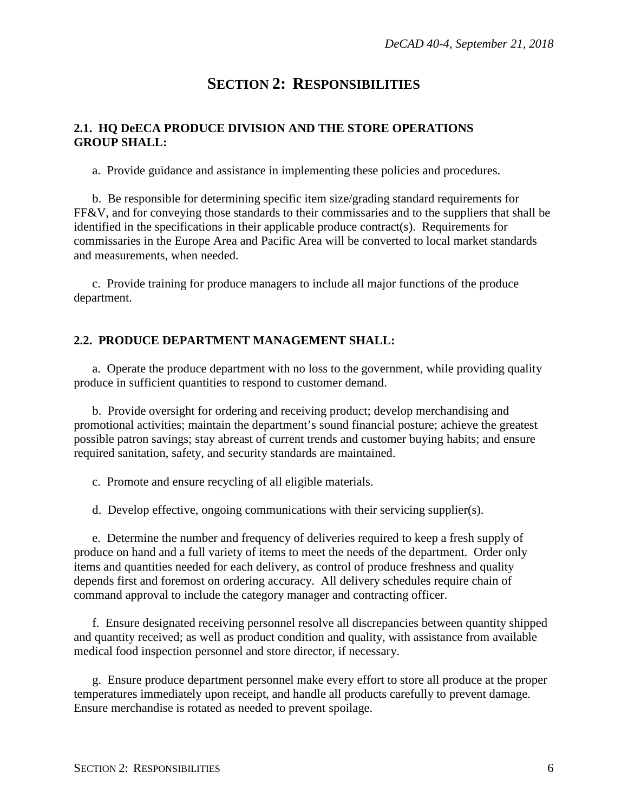## **SECTION 2: RESPONSIBILITIES**

#### <span id="page-5-1"></span><span id="page-5-0"></span>**2.1. HQ DeECA PRODUCE DIVISION AND THE STORE OPERATIONS GROUP SHALL:**

a. Provide guidance and assistance in implementing these policies and procedures.

b. Be responsible for determining specific item size/grading standard requirements for FF&V, and for conveying those standards to their commissaries and to the suppliers that shall be identified in the specifications in their applicable produce contract(s). Requirements for commissaries in the Europe Area and Pacific Area will be converted to local market standards and measurements, when needed.

c. Provide training for produce managers to include all major functions of the produce department.

#### <span id="page-5-2"></span>**2.2. PRODUCE DEPARTMENT MANAGEMENT SHALL:**

a. Operate the produce department with no loss to the government, while providing quality produce in sufficient quantities to respond to customer demand.

b. Provide oversight for ordering and receiving product; develop merchandising and promotional activities; maintain the department's sound financial posture; achieve the greatest possible patron savings; stay abreast of current trends and customer buying habits; and ensure required sanitation, safety, and security standards are maintained.

c. Promote and ensure recycling of all eligible materials.

d. Develop effective, ongoing communications with their servicing supplier(s).

e. Determine the number and frequency of deliveries required to keep a fresh supply of produce on hand and a full variety of items to meet the needs of the department. Order only items and quantities needed for each delivery, as control of produce freshness and quality depends first and foremost on ordering accuracy. All delivery schedules require chain of command approval to include the category manager and contracting officer.

f. Ensure designated receiving personnel resolve all discrepancies between quantity shipped and quantity received; as well as product condition and quality, with assistance from available medical food inspection personnel and store director, if necessary.

g. Ensure produce department personnel make every effort to store all produce at the proper temperatures immediately upon receipt, and handle all products carefully to prevent damage. Ensure merchandise is rotated as needed to prevent spoilage.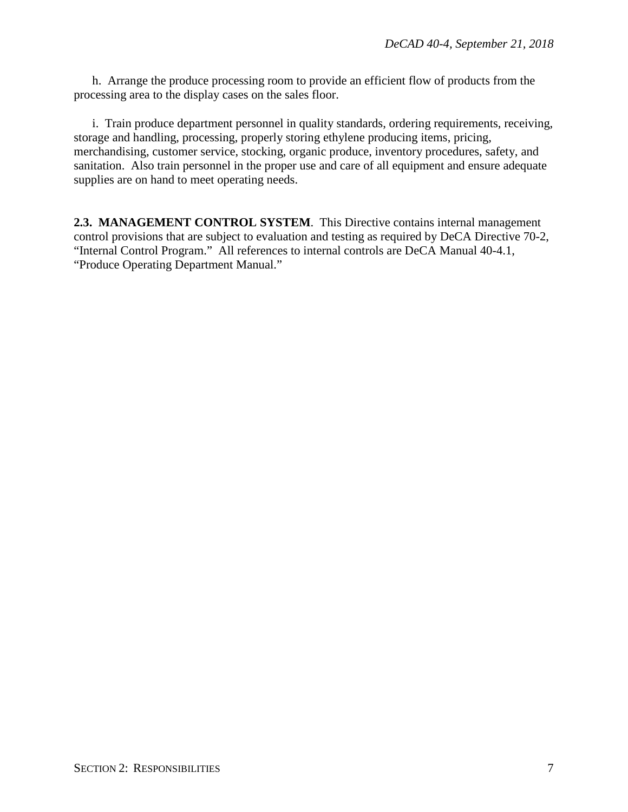h. Arrange the produce processing room to provide an efficient flow of products from the processing area to the display cases on the sales floor.

i. Train produce department personnel in quality standards, ordering requirements, receiving, storage and handling, processing, properly storing ethylene producing items, pricing, merchandising, customer service, stocking, organic produce, inventory procedures, safety, and sanitation. Also train personnel in the proper use and care of all equipment and ensure adequate supplies are on hand to meet operating needs.

**2.3. MANAGEMENT CONTROL SYSTEM**. This Directive contains internal management control provisions that are subject to evaluation and testing as required by DeCA Directive 70-2, "Internal Control Program." All references to internal controls are DeCA Manual 40-4.1, "Produce Operating Department Manual."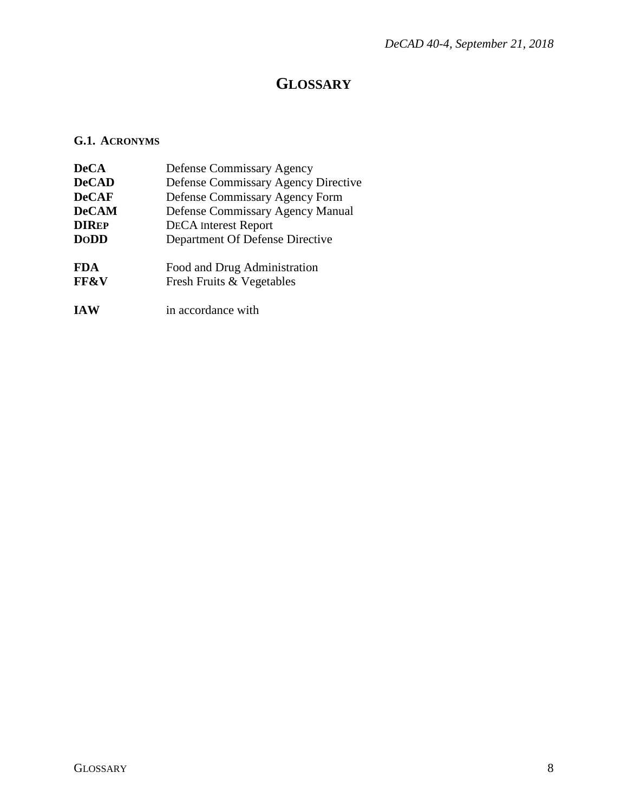## **GLOSSARY**

### <span id="page-7-1"></span><span id="page-7-0"></span>**G.1. ACRONYMS**

| <b>DeCA</b>                   | Defense Commissary Agency                                 |
|-------------------------------|-----------------------------------------------------------|
| <b>DeCAD</b>                  | <b>Defense Commissary Agency Directive</b>                |
| <b>DeCAF</b>                  | Defense Commissary Agency Form                            |
| <b>DeCAM</b>                  | Defense Commissary Agency Manual                          |
| <b>DIREP</b>                  | <b>DECA</b> Interest Report                               |
| <b>DoDD</b>                   | Department Of Defense Directive                           |
| <b>FDA</b><br><b>FF&amp;V</b> | Food and Drug Administration<br>Fresh Fruits & Vegetables |
| <b>IAW</b>                    | in accordance with                                        |